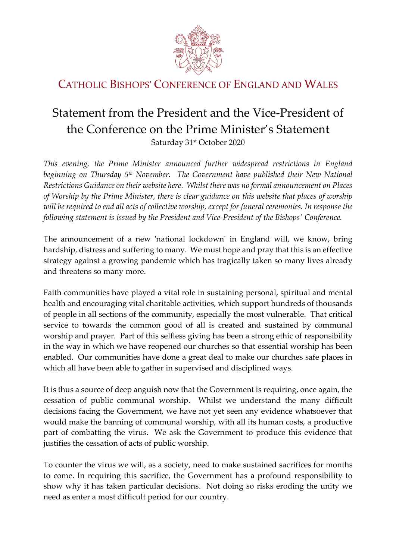

## CATHOLIC BISHOPS' CONFERENCE OF ENGLAND AND WALES

## Statement from the President and the Vice-President of the Conference on the Prime Minister's Statement Saturday 31<sup>st</sup> October 2020

*This evening, the Prime Minister announced further widespread restrictions in England beginning on Thursday 5th November. The Government have published their New National Restrictions Guidance on their website here. Whilst there was no formal announcement on Places of Worship by the Prime Minister, there is clear guidance on this website that places of worship will be required to end all acts of collective worship, except for funeral ceremonies. In response the following statement is issued by the President and Vice-President of the Bishops' Conference.*

The announcement of a new 'national lockdown' in England will, we know, bring hardship, distress and suffering to many. We must hope and pray that this is an effective strategy against a growing pandemic which has tragically taken so many lives already and threatens so many more.

Faith communities have played a vital role in sustaining personal, spiritual and mental health and encouraging vital charitable activities, which support hundreds of thousands of people in all sections of the community, especially the most vulnerable. That critical service to towards the common good of all is created and sustained by communal worship and prayer. Part of this selfless giving has been a strong ethic of responsibility in the way in which we have reopened our churches so that essential worship has been enabled. Our communities have done a great deal to make our churches safe places in which all have been able to gather in supervised and disciplined ways.

It is thus a source of deep anguish now that the Government is requiring, once again, the cessation of public communal worship. Whilst we understand the many difficult decisions facing the Government, we have not yet seen any evidence whatsoever that would make the banning of communal worship, with all its human costs, a productive part of combatting the virus. We ask the Government to produce this evidence that justifies the cessation of acts of public worship.

To counter the virus we will, as a society, need to make sustained sacrifices for months to come. In requiring this sacrifice, the Government has a profound responsibility to show why it has taken particular decisions. Not doing so risks eroding the unity we need as enter a most difficult period for our country.